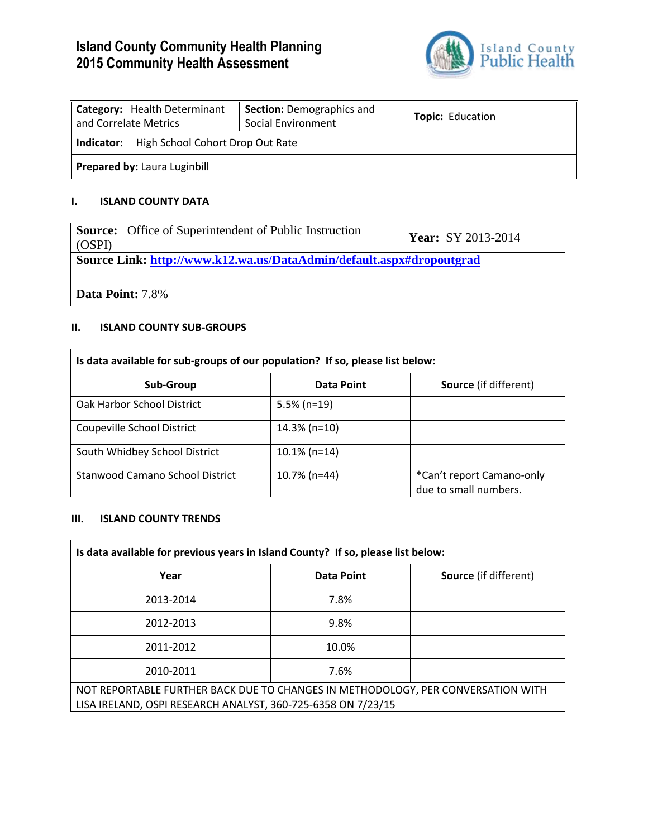# **Island County Community Health Planning 2015 Community Health Assessment**



| Category: Health Determinant<br>and Correlate Metrics | <b>Section: Demographics and</b><br>Social Environment | <b>Topic: Education</b> |  |
|-------------------------------------------------------|--------------------------------------------------------|-------------------------|--|
| High School Cohort Drop Out Rate<br>Indicator:        |                                                        |                         |  |
| Prepared by: Laura Luginbill                          |                                                        |                         |  |

### **I. ISLAND COUNTY DATA**

| <b>Source:</b> Office of Superintendent of Public Instruction<br>(OSPI) | <b>Year:</b> SY 2013-2014 |  |
|-------------------------------------------------------------------------|---------------------------|--|
| Source Link: http://www.k12.wa.us/DataAdmin/default.aspx#dropoutgrad    |                           |  |
| <b>Data Point:</b> 7.8%                                                 |                           |  |

#### **II. ISLAND COUNTY SUB-GROUPS**

| Is data available for sub-groups of our population? If so, please list below: |                   |                                                    |
|-------------------------------------------------------------------------------|-------------------|----------------------------------------------------|
| Sub-Group                                                                     | <b>Data Point</b> | <b>Source</b> (if different)                       |
| Oak Harbor School District                                                    | $5.5\%$ (n=19)    |                                                    |
| Coupeville School District                                                    | $14.3\%$ (n=10)   |                                                    |
| South Whidbey School District                                                 | $10.1\%$ (n=14)   |                                                    |
| Stanwood Camano School District                                               | 10.7% (n=44)      | *Can't report Camano-only<br>due to small numbers. |

#### **III. ISLAND COUNTY TRENDS**

| Is data available for previous years in Island County? If so, please list below:                                                                 |            |                              |
|--------------------------------------------------------------------------------------------------------------------------------------------------|------------|------------------------------|
| Year                                                                                                                                             | Data Point | <b>Source</b> (if different) |
| 2013-2014                                                                                                                                        | 7.8%       |                              |
| 2012-2013                                                                                                                                        | 9.8%       |                              |
| 2011-2012                                                                                                                                        | 10.0%      |                              |
| 2010-2011                                                                                                                                        | 7.6%       |                              |
| NOT REPORTABLE FURTHER BACK DUE TO CHANGES IN METHODOLOGY, PER CONVERSATION WITH<br>LISA IRELAND, OSPI RESEARCH ANALYST, 360-725-6358 ON 7/23/15 |            |                              |